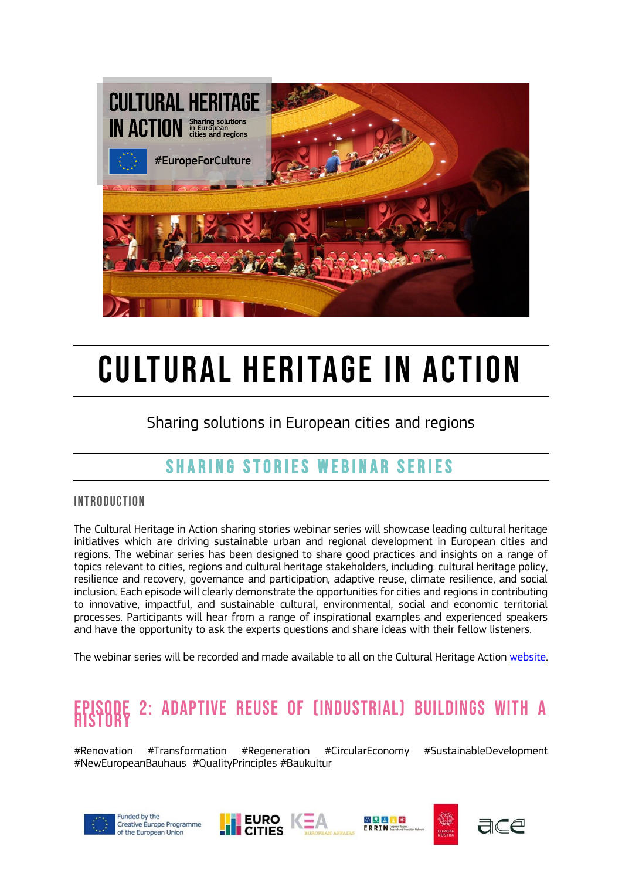

# CULTURAL HERITAGE IN ACTION

Sharing solutions in European cities and regions

### SHARING STORIES WEBINAR SERIES

#### **INTRODUCTION**

The Cultural Heritage in Action sharing stories webinar series will showcase leading cultural heritage initiatives which are driving sustainable urban and regional development in European cities and regions. The webinar series has been designed to share good practices and insights on a range of topics relevant to cities, regions and cultural heritage stakeholders, including: cultural heritage policy, resilience and recovery, governance and participation, adaptive reuse, climate resilience, and social inclusion. Each episode will clearly demonstrate the opportunities for cities and regions in contributing to innovative, impactful, and sustainable cultural, environmental, social and economic territorial processes. Participants will hear from a range of inspirational examples and experienced speakers and have the opportunity to ask the experts questions and share ideas with their fellow listeners.

The webinar series will be recorded and made available to all [on the Cu](https://culturalheritageinaction.eu/resources/)ltural Heritage Actio[n website.](https://culturalheritageinaction.eu/resources/)

## EPISODE 2: ADAPTIVE REUSE OF (INDUSTRIAL) BUILDINGS WITH A

#Renovation #Transformation #Regeneration #CircularEconomy #SustainableDevelopment #NewEuropeanBauhaus #QualityPrinciples #Baukultur











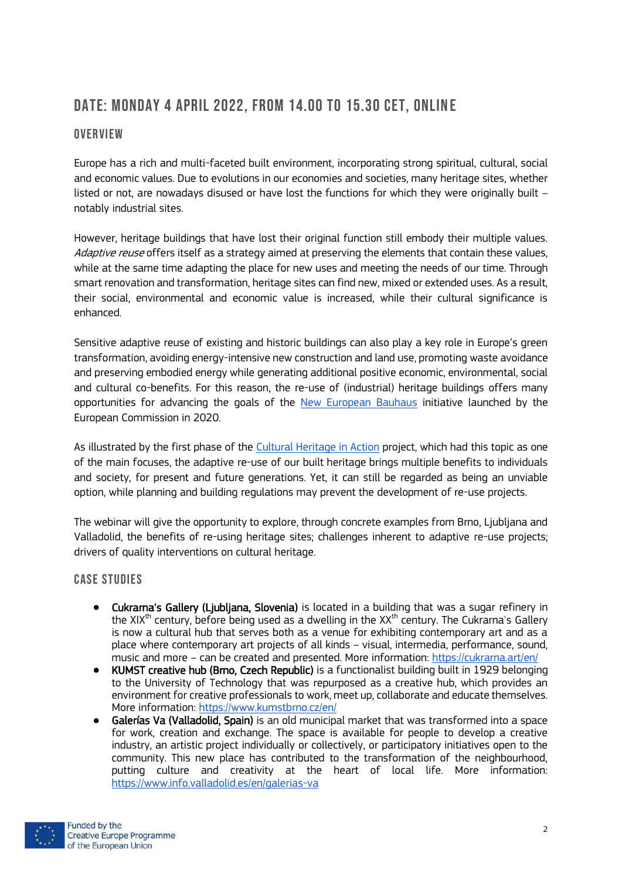#### Date: Monday 4 April 2022, FROM 14.00 to 15.30 CET, onlin e

#### **OVERVIEW**

Europe has a rich and multi-faceted built environment, incorporating strong spiritual, cultural, social and economic values. Due to evolutions in our economies and societies, many heritage sites, whether listed or not, are nowadays disused or have lost the functions for which they were originally built – notably industrial sites.

However, heritage buildings that have lost their original function still embody their multiple values. Adaptive reuse offers itself as a strategy aimed at preserving the elements that contain these values, while at the same time adapting the place for new uses and meeting the needs of our time. Through smart renovation and transformation, heritage sites can find new, mixed or extended uses. As a result, their social, environmental and economic value is increased, while their cultural significance is enhanced.

Sensitive adaptive reuse of existing and historic buildings can also play a key role in Europe's green transformation, avoiding energy-intensive new construction and land use, promoting waste avoidance and preserving embodied energy while generating additional positive economic, environmental, social and cultural co-benefits. For this reason, the re-use of (industrial) heritage buildings offers many opportunities for advancing the goals of the [New European Bauhaus](https://europa.eu/new-european-bauhaus/index_en) initiative launched by the European Commission in 2020.

As illustrated by the first phase of the [Cultural Heritage in Action](https://culturalheritageinaction.eu/case-studies/) project, which had this topic as one of the main focuses, the adaptive re-use of our built heritage brings multiple benefits to individuals and society, for present and future generations. Yet, it can still be regarded as being an unviable option, while planning and building regulations may prevent the development of re-use projects.

The webinar will give the opportunity to explore, through concrete examples from Brno, Ljubljana and Valladolid, the benefits of re-using heritage sites; challenges inherent to adaptive re-use projects; drivers of quality interventions on cultural heritage.

#### **CASE STUDIES**

- Cukrarna's Gallery (Ljubljana, Slovenia) is located in a building that was a sugar refinery in the XIX<sup>th</sup> century, before being used as a dwelling in the XX<sup>th</sup> century. The Cukrarna's Gallery is now a cultural hub that serves both as a venue for exhibiting contemporary art and as a place where contemporary art projects of all kinds – visual, intermedia, performance, sound, music and more – can be created and presented. More information:<https://cukrarna.art/en/>
- KUMST creative hub (Brno, Czech Republic) is a functionalist building built in 1929 belonging to the University of Technology that was repurposed as a creative hub, which provides an environment for creative professionals to work, meet up, collaborate and educate themselves. More information:<https://www.kumstbrno.cz/en/>
- Galerías Va (Valladolid, Spain) is an old municipal market that was transformed into a space for work, creation and exchange. The space is available for people to develop a creative industry, an artistic project individually or collectively, or participatory initiatives open to the community. This new place has contributed to the transformation of the neighbourhood, putting culture and creativity at the heart of local life. More information: <https://www.info.valladolid.es/en/galerias-va>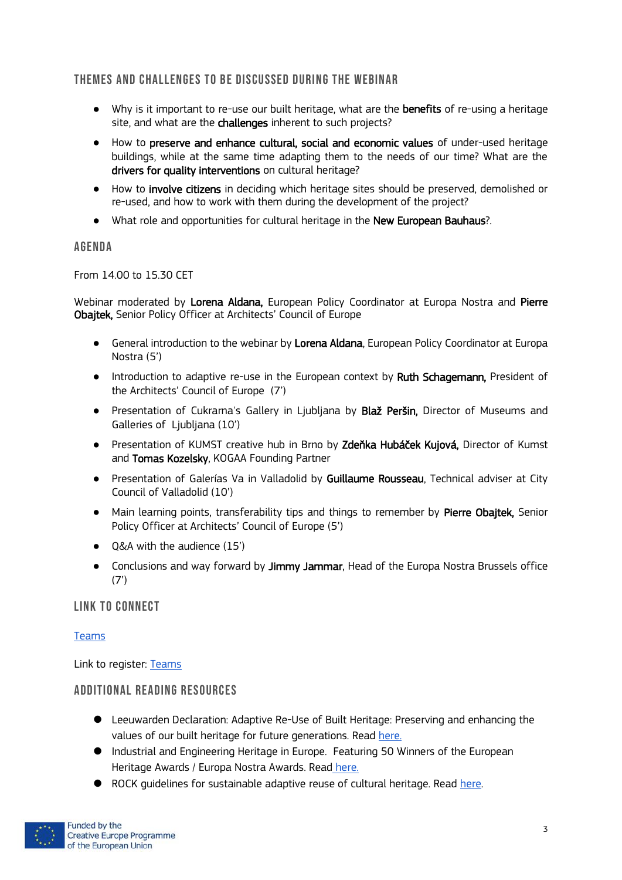#### THEMES AND CHALLENGES TO BE DISCUSSED DURING THE WEBINAR

- Why is it important to re-use our built heritage, what are the benefits of re-using a heritage site, and what are the **challenges** inherent to such projects?
- How to preserve and enhance cultural, social and economic values of under-used heritage buildings, while at the same time adapting them to the needs of our time? What are the drivers for quality interventions on cultural heritage?
- How to involve citizens in deciding which heritage sites should be preserved, demolished or re-used, and how to work with them during the development of the project?
- What role and opportunities for cultural heritage in the New European Bauhaus?.

#### **AGENDA**

From 14.00 to 15.30 CET

Webinar moderated by Lorena Aldana, European Policy Coordinator at Europa Nostra and Pierre Obajtek, Senior Policy Officer at Architects' Council of Europe

- General introduction to the webinar by Lorena Aldana, European Policy Coordinator at Europa Nostra (5')
- Introduction to adaptive re-use in the European context by Ruth Schagemann, President of the Architects' Council of Europe (7')
- Presentation of Cukrarna's Gallery in Ljubljana by Blaž Peršin, Director of Museums and Galleries of Ljubljana (10')
- **•** Presentation of KUMST creative hub in Brno by Zdeňka Hubáček Kujová, Director of Kumst and Tomas Kozelsky, KOGAA Founding Partner
- Presentation of Galerías Va in Valladolid by Guillaume Rousseau, Technical adviser at City Council of Valladolid (10')
- Main learning points, transferability tips and things to remember by Pierre Obajtek, Senior Policy Officer at Architects' Council of Europe (5')
- O&A with the audience (15')
- Conclusions and way forward by Jimmy Jammar, Head of the Europa Nostra Brussels office  $(7')$

#### LINK TO CONNECT

#### [Teams](https://teams.microsoft.com/l/meetup-join/19%3ameeting_MzRhMjc3ZWYtZjljYy00NWViLWE2MDMtZDM0NGNhYmNmMzk3%40thread.v2/0?context=%7b%22Tid%22%3a%22d12f890a-950a-4680-8ca7-5a36f0889cd3%22%2c%22Oid%22%3a%22279da75f-944e-4e7c-88ae-29cba6a15e83%22%7d)

Link to register: [Teams](https://teams.microsoft.com/registration/Cokv0QqVgEaMp1o28Iic0w,-z8jPPk5706o7yJnR27bmg,xQ6Okyni20Ky35pbO6y68w,TKA_VcjjSUW4jwml1_jAwA,Zx4X7_gnEkKSutEad2nAuQ,6iZuS47Zs023BhmmEOKlFg?mode=read&tenantId=d12f890a-950a-4680-8ca7-5a36f0889cd3)

#### ADDITIONAL READING RESOURCES

- Leeuwarden Declaration: Adaptive Re-Use of Built Heritage: Preserving and enhancing the values of our built heritage for future generations. Read [here.](https://www.ace-cae.eu/uploads/tx_jidocumentsview/LEEUWARDEN_STATEMENT_FINAL_EN-NEW.pdf)
- Industrial and Engineering Heritage in Europe. Featuring 50 Winners of the European Heritage Awards / Europa Nostra Awards. Read [here.](https://door.donau-uni.ac.at/open/o:989)
- ROCK quidelines for sustainable adaptive reuse of cultural heritage. Read [here.](https://www.rockproject.eu/documents-list)